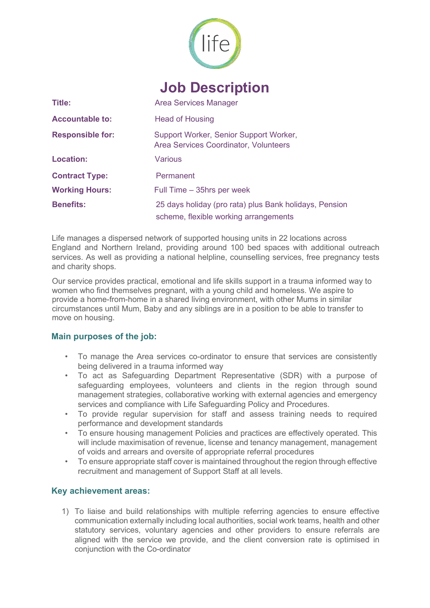

# **Job Description**

| Title:                  | Area Services Manager                                                                           |
|-------------------------|-------------------------------------------------------------------------------------------------|
| <b>Accountable to:</b>  | <b>Head of Housing</b>                                                                          |
| <b>Responsible for:</b> | Support Worker, Senior Support Worker,<br>Area Services Coordinator, Volunteers                 |
| Location:               | Various                                                                                         |
| <b>Contract Type:</b>   | Permanent                                                                                       |
| <b>Working Hours:</b>   | Full Time - 35hrs per week                                                                      |
| <b>Benefits:</b>        | 25 days holiday (pro rata) plus Bank holidays, Pension<br>scheme, flexible working arrangements |

Life manages a dispersed network of supported housing units in 22 locations across England and Northern Ireland, providing around 100 bed spaces with additional outreach services. As well as providing a national helpline, counselling services, free pregnancy tests and charity shops.

Our service provides practical, emotional and life skills support in a trauma informed way to women who find themselves pregnant, with a young child and homeless. We aspire to provide a home-from-home in a shared living environment, with other Mums in similar circumstances until Mum, Baby and any siblings are in a position to be able to transfer to move on housing.

# **Main purposes of the job:**

- To manage the Area services co-ordinator to ensure that services are consistently being delivered in a trauma informed way
- To act as Safeguarding Department Representative (SDR) with a purpose of safeguarding employees, volunteers and clients in the region through sound management strategies, collaborative working with external agencies and emergency services and compliance with Life Safeguarding Policy and Procedures.
- To provide regular supervision for staff and assess training needs to required performance and development standards
- To ensure housing management Policies and practices are effectively operated. This will include maximisation of revenue, license and tenancy management, management of voids and arrears and oversite of appropriate referral procedures
- To ensure appropriate staff cover is maintained throughout the region through effective recruitment and management of Support Staff at all levels.

# **Key achievement areas:**

1) To liaise and build relationships with multiple referring agencies to ensure effective communication externally including local authorities, social work teams, health and other statutory services, voluntary agencies and other providers to ensure referrals are aligned with the service we provide, and the client conversion rate is optimised in conjunction with the Co-ordinator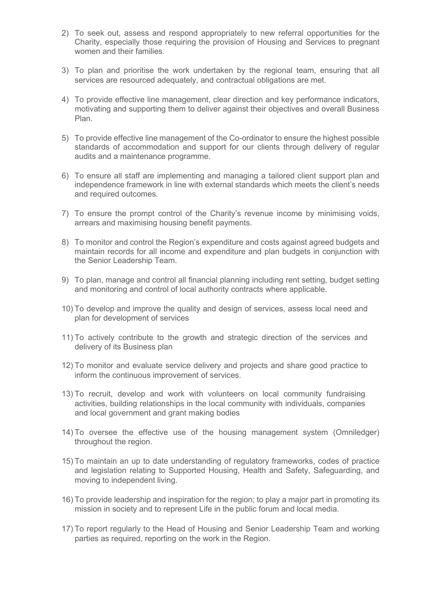- 2) To seek out, assess and respond appropriately to new referral opportunities for the Charity, especially those requiring the provision of Housing and Services to pregnant women and their families.
- 3) To plan and prioritise the work undertaken by the regional team, ensuring that all services are resourced adequately, and contractual obligations are met.
- 4) To provide effective line management, clear direction and key performance indicators, motivating and supporting them to deliver against their objectives and overall Business Plan.
- 5) To provide effective line management of the Co-ordinator to ensure the highest possible standards of accommodation and support for our clients through delivery of regular audits and a maintenance programme.
- 6) To ensure all staff are implementing and managing a tailored client support plan and independence framework in line with external standards which meets the client's needs and required outcomes.
- 7) To ensure the prompt control of the Charity's revenue income by minimising voids, arrears and maximising housing benefit payments.
- 8) To monitor and control the Region's expenditure and costs against agreed budgets and maintain records for all income and expenditure and plan budgets in conjunction with the Senior Leadership Team.
- 9) To plan, manage and control all financial planning including rent setting, budget setting and monitoring and control of local authority contracts where applicable.
- 10) To develop and improve the quality and design of services, assess local need and plan for development of services
- 11) To actively contribute to the growth and strategic direction of the services and delivery of its Business plan
- 12) To monitor and evaluate service delivery and projects and share good practice to inform the continuous improvement of services.
- 13) To recruit, develop and work with volunteers on local community fundraising activities, building relationships in the local community with individuals, companies and local government and grant making bodies
- 14) To oversee the effective use of the housing management system (Omniledger) throughout the region.
- 15) To maintain an up to date understanding of regulatory frameworks, codes of practice and legislation relating to Supported Housing, Health and Safety, Safeguarding, and moving to independent living.
- 16) To provide leadership and inspiration for the region; to play a major part in promoting its mission in society and to represent Life in the public forum and local media.
- 17) To report regularly to the Head of Housing and Senior Leadership Team and working parties as required, reporting on the work in the Region.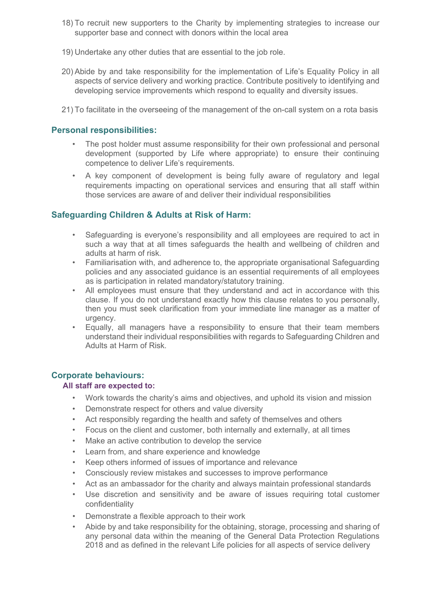- 18) To recruit new supporters to the Charity by implementing strategies to increase our supporter base and connect with donors within the local area
- 19) Undertake any other duties that are essential to the job role.
- 20) Abide by and take responsibility for the implementation of Life's Equality Policy in all aspects of service delivery and working practice. Contribute positively to identifying and developing service improvements which respond to equality and diversity issues.
- 21) To facilitate in the overseeing of the management of the on-call system on a rota basis

# **Personal responsibilities:**

- The post holder must assume responsibility for their own professional and personal development (supported by Life where appropriate) to ensure their continuing competence to deliver Life's requirements.
- A key component of development is being fully aware of regulatory and legal requirements impacting on operational services and ensuring that all staff within those services are aware of and deliver their individual responsibilities

# **Safeguarding Children & Adults at Risk of Harm:**

- Safeguarding is everyone's responsibility and all employees are required to act in such a way that at all times safeguards the health and wellbeing of children and adults at harm of risk.
- Familiarisation with, and adherence to, the appropriate organisational Safeguarding policies and any associated guidance is an essential requirements of all employees as is participation in related mandatory/statutory training.
- All employees must ensure that they understand and act in accordance with this clause. If you do not understand exactly how this clause relates to you personally, then you must seek clarification from your immediate line manager as a matter of urgency.
- Equally, all managers have a responsibility to ensure that their team members understand their individual responsibilities with regards to Safeguarding Children and Adults at Harm of Risk.

# **Corporate behaviours:**

# **All staff are expected to:**

- Work towards the charity's aims and objectives, and uphold its vision and mission
- Demonstrate respect for others and value diversity
- Act responsibly regarding the health and safety of themselves and others
- Focus on the client and customer, both internally and externally, at all times
- Make an active contribution to develop the service
- Learn from, and share experience and knowledge
- Keep others informed of issues of importance and relevance
- Consciously review mistakes and successes to improve performance
- Act as an ambassador for the charity and always maintain professional standards
- Use discretion and sensitivity and be aware of issues requiring total customer confidentiality
- Demonstrate a flexible approach to their work
- Abide by and take responsibility for the obtaining, storage, processing and sharing of any personal data within the meaning of the General Data Protection Regulations 2018 and as defined in the relevant Life policies for all aspects of service delivery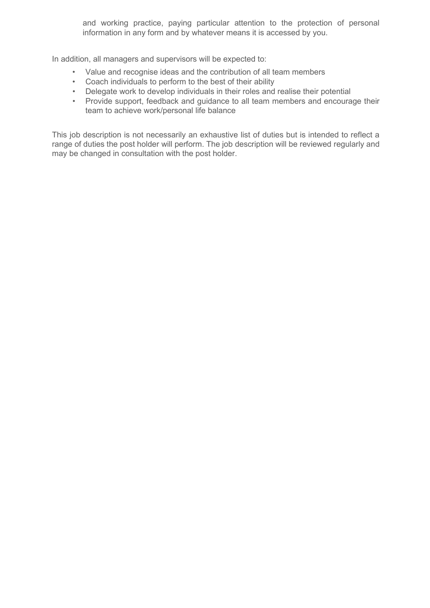and working practice, paying particular attention to the protection of personal information in any form and by whatever means it is accessed by you.

In addition, all managers and supervisors will be expected to:

- Value and recognise ideas and the contribution of all team members
- Coach individuals to perform to the best of their ability
- Delegate work to develop individuals in their roles and realise their potential
- Provide support, feedback and guidance to all team members and encourage their team to achieve work/personal life balance

This job description is not necessarily an exhaustive list of duties but is intended to reflect a range of duties the post holder will perform. The job description will be reviewed regularly and may be changed in consultation with the post holder.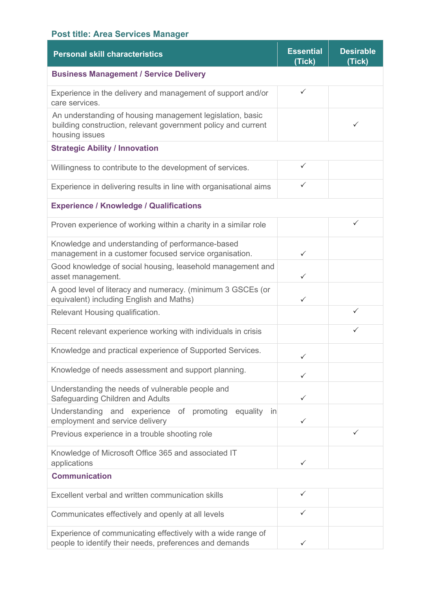# **Post title: Area Services Manager**

| <b>Personal skill characteristics</b>                                                                                                        | <b>Essential</b><br>(Tick) | <b>Desirable</b><br>(Tick) |
|----------------------------------------------------------------------------------------------------------------------------------------------|----------------------------|----------------------------|
| <b>Business Management / Service Delivery</b>                                                                                                |                            |                            |
| Experience in the delivery and management of support and/or<br>care services.                                                                | ✓                          |                            |
| An understanding of housing management legislation, basic<br>building construction, relevant government policy and current<br>housing issues |                            | ✓                          |
| <b>Strategic Ability / Innovation</b>                                                                                                        |                            |                            |
| Willingness to contribute to the development of services.                                                                                    | ✓                          |                            |
| Experience in delivering results in line with organisational aims                                                                            | ✓                          |                            |
| <b>Experience / Knowledge / Qualifications</b>                                                                                               |                            |                            |
| Proven experience of working within a charity in a similar role                                                                              |                            | ✓                          |
| Knowledge and understanding of performance-based<br>management in a customer focused service organisation.                                   | ✓                          |                            |
| Good knowledge of social housing, leasehold management and<br>asset management.                                                              | ✓                          |                            |
| A good level of literacy and numeracy. (minimum 3 GSCEs (or<br>equivalent) including English and Maths)                                      | ✓                          |                            |
| Relevant Housing qualification.                                                                                                              |                            | ✓                          |
| Recent relevant experience working with individuals in crisis                                                                                |                            |                            |
| Knowledge and practical experience of Supported Services.                                                                                    | ✓                          |                            |
| Knowledge of needs assessment and support planning.                                                                                          | ✓                          |                            |
| Understanding the needs of vulnerable people and<br>Safeguarding Children and Adults                                                         | ✓                          |                            |
| Understanding and experience of promoting<br>equality<br>in<br>employment and service delivery                                               | ✓                          |                            |
| Previous experience in a trouble shooting role                                                                                               |                            | ✓                          |
| Knowledge of Microsoft Office 365 and associated IT<br>applications                                                                          | ✓                          |                            |
| <b>Communication</b>                                                                                                                         |                            |                            |
| Excellent verbal and written communication skills                                                                                            | $\checkmark$               |                            |
| Communicates effectively and openly at all levels                                                                                            | ✓                          |                            |
| Experience of communicating effectively with a wide range of<br>people to identify their needs, preferences and demands                      | $\checkmark$               |                            |